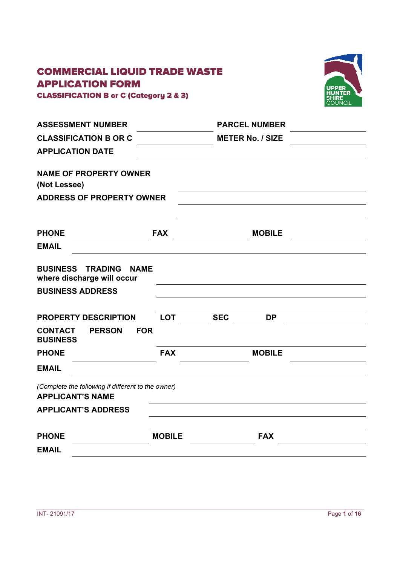# COMMERCIAL LIQUID TRADE WASTE APPLICATION FORM





| <b>ASSESSMENT NUMBER</b>                                                      |               | <b>PARCEL NUMBER</b>    |  |
|-------------------------------------------------------------------------------|---------------|-------------------------|--|
| <b>CLASSIFICATION B OR C</b>                                                  |               | <b>METER No. / SIZE</b> |  |
| <b>APPLICATION DATE</b>                                                       |               |                         |  |
| <b>NAME OF PROPERTY OWNER</b><br>(Not Lessee)                                 |               |                         |  |
| <b>ADDRESS OF PROPERTY OWNER</b>                                              |               |                         |  |
|                                                                               |               |                         |  |
| <b>PHONE</b>                                                                  | <b>FAX</b>    | <b>MOBILE</b>           |  |
| <b>EMAIL</b>                                                                  |               |                         |  |
| <b>BUSINESS TRADING</b><br><b>NAME</b><br>where discharge will occur          |               |                         |  |
| <b>BUSINESS ADDRESS</b>                                                       |               |                         |  |
| <b>PROPERTY DESCRIPTION</b>                                                   | <b>LOT</b>    | <b>SEC</b><br><b>DP</b> |  |
| <b>FOR</b><br><b>CONTACT</b><br><b>PERSON</b><br><b>BUSINESS</b>              |               |                         |  |
| <b>PHONE</b>                                                                  | <b>FAX</b>    | <b>MOBILE</b>           |  |
| <b>EMAIL</b>                                                                  |               |                         |  |
| (Complete the following if different to the owner)<br><b>APPLICANT'S NAME</b> |               |                         |  |
| <b>APPLICANT'S ADDRESS</b>                                                    |               |                         |  |
| <b>PHONE</b>                                                                  | <b>MOBILE</b> | <b>FAX</b>              |  |
| <b>EMAIL</b>                                                                  |               |                         |  |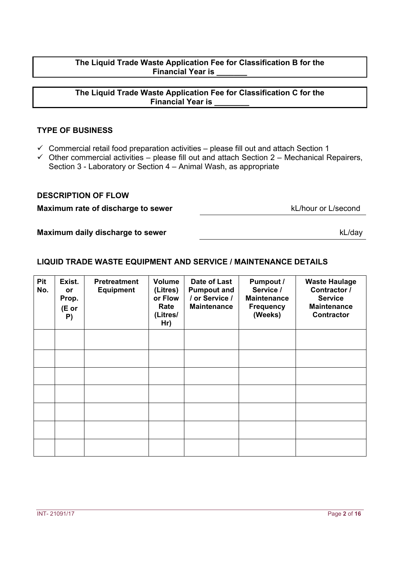# **The Liquid Trade Waste Application Fee for Classification B for the Financial Year is**

#### **The Liquid Trade Waste Application Fee for Classification C for the Financial Year is \_\_\_\_\_\_\_\_**

### **TYPE OF BUSINESS**

- $\checkmark$  Commercial retail food preparation activities please fill out and attach Section 1
- $\checkmark$  Other commercial activities please fill out and attach Section 2 Mechanical Repairers, Section 3 - Laboratory or Section 4 – Animal Wash, as appropriate

#### **DESCRIPTION OF FLOW**

**Maximum rate of discharge to sewer** kL/hour or L/second

**Maximum daily discharge to sewer** 

# **LIQUID TRADE WASTE EQUIPMENT AND SERVICE / MAINTENANCE DETAILS**

| <b>Pit</b><br>No. | Exist.<br><b>or</b><br>Prop.<br>(E or<br>P) | <b>Pretreatment</b><br><b>Equipment</b> | <b>Volume</b><br>(Litres)<br>or Flow<br>Rate<br>(Litres/<br>Hr) | Date of Last<br><b>Pumpout and</b><br>/ or Service /<br><b>Maintenance</b> | <b>Pumpout /</b><br>Service /<br><b>Maintenance</b><br><b>Frequency</b><br>(Weeks) | <b>Waste Haulage</b><br>Contractor /<br><b>Service</b><br><b>Maintenance</b><br><b>Contractor</b> |
|-------------------|---------------------------------------------|-----------------------------------------|-----------------------------------------------------------------|----------------------------------------------------------------------------|------------------------------------------------------------------------------------|---------------------------------------------------------------------------------------------------|
|                   |                                             |                                         |                                                                 |                                                                            |                                                                                    |                                                                                                   |
|                   |                                             |                                         |                                                                 |                                                                            |                                                                                    |                                                                                                   |
|                   |                                             |                                         |                                                                 |                                                                            |                                                                                    |                                                                                                   |
|                   |                                             |                                         |                                                                 |                                                                            |                                                                                    |                                                                                                   |
|                   |                                             |                                         |                                                                 |                                                                            |                                                                                    |                                                                                                   |
|                   |                                             |                                         |                                                                 |                                                                            |                                                                                    |                                                                                                   |
|                   |                                             |                                         |                                                                 |                                                                            |                                                                                    |                                                                                                   |

kL/day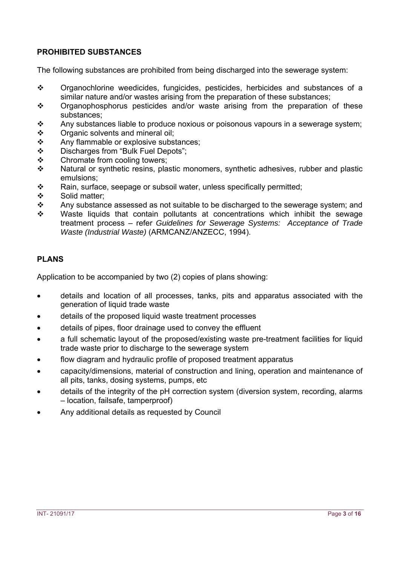# **PROHIBITED SUBSTANCES**

The following substances are prohibited from being discharged into the sewerage system:

- Organochlorine weedicides, fungicides, pesticides, herbicides and substances of a similar nature and/or wastes arising from the preparation of these substances;
- Organophosphorus pesticides and/or waste arising from the preparation of these substances;
- $\clubsuit$  Any substances liable to produce noxious or poisonous vapours in a sewerage system;
- Organic solvents and mineral oil;
- \* Any flammable or explosive substances;
- Discharges from "Bulk Fuel Depots";
- ❖ Chromate from cooling towers;<br>❖ Natural or synthetic resins, pla
- Natural or synthetic resins, plastic monomers, synthetic adhesives, rubber and plastic emulsions;
- ❖ Rain, surface, seepage or subsoil water, unless specifically permitted;<br>❖ Solid matter:
- Solid matter;
- $\cdot \cdot$  Any substance assessed as not suitable to be discharged to the sewerage system; and
- $\div$  Waste liquids that contain pollutants at concentrations which inhibit the sewage treatment process – refer *Guidelines for Sewerage Systems: Acceptance of Trade Waste (Industrial Waste)* (ARMCANZ/ANZECC, 1994).

# **PLANS**

Application to be accompanied by two (2) copies of plans showing:

- details and location of all processes, tanks, pits and apparatus associated with the generation of liquid trade waste
- details of the proposed liquid waste treatment processes
- details of pipes, floor drainage used to convey the effluent
- a full schematic layout of the proposed/existing waste pre-treatment facilities for liquid trade waste prior to discharge to the sewerage system
- flow diagram and hydraulic profile of proposed treatment apparatus
- capacity/dimensions, material of construction and lining, operation and maintenance of all pits, tanks, dosing systems, pumps, etc
- details of the integrity of the pH correction system (diversion system, recording, alarms – location, failsafe, tamperproof)
- Any additional details as requested by Council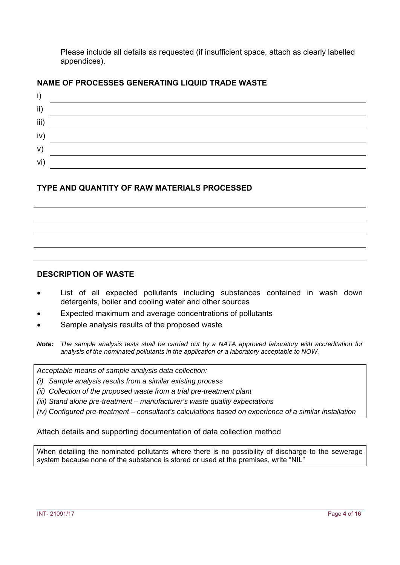Please include all details as requested (if insufficient space, attach as clearly labelled appendices).

# **NAME OF PROCESSES GENERATING LIQUID TRADE WASTE**



# **TYPE AND QUANTITY OF RAW MATERIALS PROCESSED**

#### **DESCRIPTION OF WASTE**

- List of all expected pollutants including substances contained in wash down detergents, boiler and cooling water and other sources
- Expected maximum and average concentrations of pollutants
- Sample analysis results of the proposed waste

*Acceptable means of sample analysis data collection:* 

- *(i) Sample analysis results from a similar existing process*
- *(ii) Collection of the proposed waste from a trial pre-treatment plant*
- *(iii) Stand alone pre-treatment manufacturer's waste quality expectations*

*(iv) Configured pre-treatment – consultant's calculations based on experience of a similar installation* 

Attach details and supporting documentation of data collection method

When detailing the nominated pollutants where there is no possibility of discharge to the sewerage system because none of the substance is stored or used at the premises, write "NIL"

*Note: The sample analysis tests shall be carried out by a NATA approved laboratory with accreditation for analysis of the nominated pollutants in the application or a laboratory acceptable to NOW.*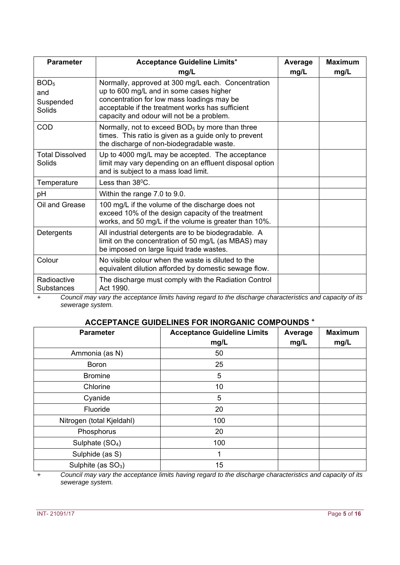| <b>Parameter</b>                                      | <b>Acceptance Guideline Limits<sup>+</sup></b>                                                                                                                                                                                               | Average | <b>Maximum</b> |
|-------------------------------------------------------|----------------------------------------------------------------------------------------------------------------------------------------------------------------------------------------------------------------------------------------------|---------|----------------|
|                                                       | mg/L                                                                                                                                                                                                                                         | mg/L    | mg/L           |
| BOD <sub>5</sub><br>and<br>Suspended<br><b>Solids</b> | Normally, approved at 300 mg/L each. Concentration<br>up to 600 mg/L and in some cases higher<br>concentration for low mass loadings may be<br>acceptable if the treatment works has sufficient<br>capacity and odour will not be a problem. |         |                |
| COD                                                   | Normally, not to exceed BOD <sub>5</sub> by more than three<br>times. This ratio is given as a guide only to prevent<br>the discharge of non-biodegradable waste.                                                                            |         |                |
| <b>Total Dissolved</b><br>Solids                      | Up to 4000 mg/L may be accepted. The acceptance<br>limit may vary depending on an effluent disposal option<br>and is subject to a mass load limit.                                                                                           |         |                |
| Temperature                                           | Less than $38^{\circ}$ C.                                                                                                                                                                                                                    |         |                |
| рH                                                    | Within the range 7.0 to 9.0.                                                                                                                                                                                                                 |         |                |
| Oil and Grease                                        | 100 mg/L if the volume of the discharge does not<br>exceed 10% of the design capacity of the treatment<br>works, and 50 mg/L if the volume is greater than 10%.                                                                              |         |                |
| Detergents                                            | All industrial detergents are to be biodegradable. A<br>limit on the concentration of 50 mg/L (as MBAS) may<br>be imposed on large liquid trade wastes.                                                                                      |         |                |
| Colour                                                | No visible colour when the waste is diluted to the<br>equivalent dilution afforded by domestic sewage flow.                                                                                                                                  |         |                |
| Radioactive<br>Substances                             | The discharge must comply with the Radiation Control<br>Act 1990.                                                                                                                                                                            |         |                |

*+ Council may vary the acceptance limits having regard to the discharge characteristics and capacity of its sewerage system.* 

# **ACCEPTANCE GUIDELINES FOR INORGANIC COMPOUNDS +**

| <b>Parameter</b>               | <b>Acceptance Guideline Limits</b><br>mg/L | Average<br>mg/L | <b>Maximum</b><br>mg/L |
|--------------------------------|--------------------------------------------|-----------------|------------------------|
| Ammonia (as N)                 | 50                                         |                 |                        |
| <b>Boron</b>                   | 25                                         |                 |                        |
| <b>Bromine</b>                 | 5                                          |                 |                        |
| Chlorine                       | 10                                         |                 |                        |
| Cyanide                        | 5                                          |                 |                        |
| Fluoride                       | 20                                         |                 |                        |
| Nitrogen (total Kjeldahl)      | 100                                        |                 |                        |
| Phosphorus                     | 20                                         |                 |                        |
| Sulphate (SO <sub>4</sub> )    | 100                                        |                 |                        |
| Sulphide (as S)                | ◀                                          |                 |                        |
| Sulphite (as SO <sub>3</sub> ) | 15                                         |                 |                        |

*+ Council may vary the acceptance limits having regard to the discharge characteristics and capacity of its sewerage system.*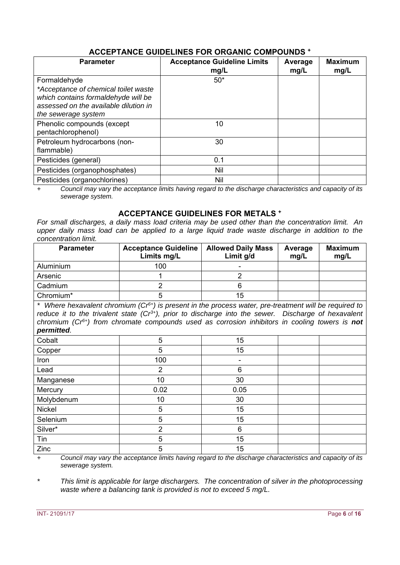# **ACCEPTANCE GUIDELINES FOR ORGANIC COMPOUNDS +**

| <b>Parameter</b>                                                                                    | <b>Acceptance Guideline Limits</b><br>mg/L | Average<br>mg/L | <b>Maximum</b><br>mg/L |
|-----------------------------------------------------------------------------------------------------|--------------------------------------------|-----------------|------------------------|
| Formaldehyde<br>*Acceptance of chemical toilet waste                                                | $50*$                                      |                 |                        |
| which contains formaldehyde will be<br>assessed on the available dilution in<br>the sewerage system |                                            |                 |                        |
| Phenolic compounds (except<br>pentachlorophenol)                                                    | 10                                         |                 |                        |
| Petroleum hydrocarbons (non-<br>flammable)                                                          | 30                                         |                 |                        |
| Pesticides (general)                                                                                | 0.1                                        |                 |                        |
| Pesticides (organophosphates)                                                                       | Nil                                        |                 |                        |
| Pesticides (organochlorines)                                                                        | Nil                                        |                 |                        |

*+ Council may vary the acceptance limits having regard to the discharge characteristics and capacity of its sewerage system.* 

#### **ACCEPTANCE GUIDELINES FOR METALS +**

*For small discharges, a daily mass load criteria may be used other than the concentration limit. An*  upper daily mass load can be applied to a large liquid trade waste discharge in addition to the *concentration limit.*

| <b>Parameter</b>      | <b>Acceptance Guideline</b><br>Limits mg/L | <b>Allowed Daily Mass</b><br>Limit g/d | Average<br>mg/L | <b>Maximum</b><br>mg/L |
|-----------------------|--------------------------------------------|----------------------------------------|-----------------|------------------------|
| Aluminium             | 100                                        |                                        |                 |                        |
| Arsenic               |                                            |                                        |                 |                        |
| Cadmium               |                                            |                                        |                 |                        |
| Chromium <sup>*</sup> |                                            | 15                                     |                 |                        |

*\* Where hexavalent chromium (Cr6+) is present in the process water, pre-treatment will be required to reduce it to the trivalent state (Cr3+), prior to discharge into the sewer. Discharge of hexavalent chromium (Cr6+) from chromate compounds used as corrosion inhibitors in cooling towers is not permitted.* 

| r - <del>.</del> |                |      |  |
|------------------|----------------|------|--|
| Cobalt           | 5              | 15   |  |
| Copper           | 5              | 15   |  |
| Iron             | 100            |      |  |
| Lead             | $\overline{2}$ | 6    |  |
| Manganese        | 10             | 30   |  |
| Mercury          | 0.02           | 0.05 |  |
| Molybdenum       | 10             | 30   |  |
| Nickel           | 5              | 15   |  |
| Selenium         | 5              | 15   |  |
| Silver*          | $\overline{2}$ | 6    |  |
| Tin              | 5              | 15   |  |
| Zinc             | 5              | 15   |  |

*+ Council may vary the acceptance limits having regard to the discharge characteristics and capacity of its sewerage system.* 

*\* This limit is applicable for large dischargers. The concentration of silver in the photoprocessing waste where a balancing tank is provided is not to exceed 5 mg/L.*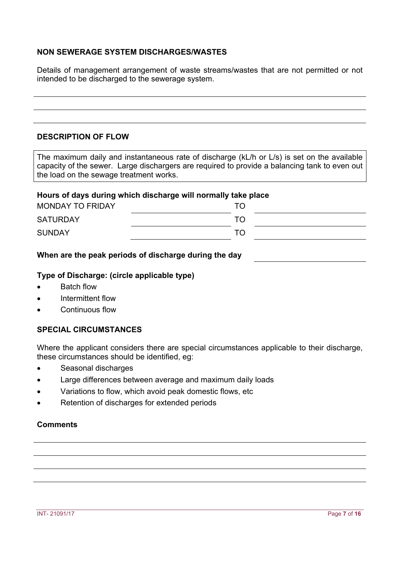### **NON SEWERAGE SYSTEM DISCHARGES/WASTES**

Details of management arrangement of waste streams/wastes that are not permitted or not intended to be discharged to the sewerage system.

# **DESCRIPTION OF FLOW**

The maximum daily and instantaneous rate of discharge (kL/h or L/s) is set on the available capacity of the sewer. Large dischargers are required to provide a balancing tank to even out the load on the sewage treatment works.

#### **Hours of days during which discharge will normally take place**

| <b>MONDAY TO FRIDAY</b> | TO |  |
|-------------------------|----|--|
| <b>SATURDAY</b>         | TO |  |
| <b>SUNDAY</b>           | TO |  |

#### **When are the peak periods of discharge during the day**

#### **Type of Discharge: (circle applicable type)**

- Batch flow
- Intermittent flow
- Continuous flow

#### **SPECIAL CIRCUMSTANCES**

Where the applicant considers there are special circumstances applicable to their discharge, these circumstances should be identified, eg:

- Seasonal discharges
- Large differences between average and maximum daily loads
- Variations to flow, which avoid peak domestic flows, etc
- Retention of discharges for extended periods

#### **Comments**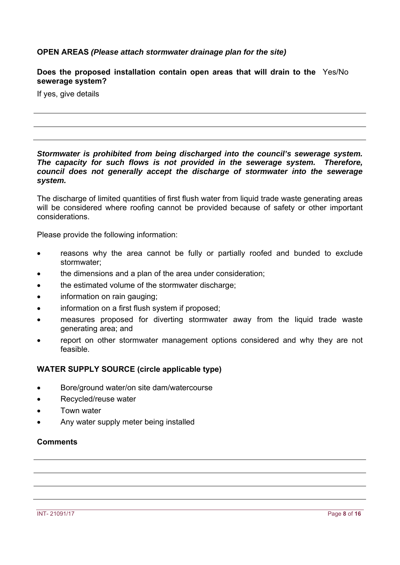#### **OPEN AREAS** *(Please attach stormwater drainage plan for the site)*

#### **Does the proposed installation contain open areas that will drain to the**  Yes/No **sewerage system?**

If yes, give details

#### *Stormwater is prohibited from being discharged into the council's sewerage system. The capacity for such flows is not provided in the sewerage system. Therefore, council does not generally accept the discharge of stormwater into the sewerage system.*

The discharge of limited quantities of first flush water from liquid trade waste generating areas will be considered where roofing cannot be provided because of safety or other important considerations.

Please provide the following information:

- reasons why the area cannot be fully or partially roofed and bunded to exclude stormwater;
- the dimensions and a plan of the area under consideration;
- the estimated volume of the stormwater discharge;
- information on rain gauging;
- information on a first flush system if proposed;
- measures proposed for diverting stormwater away from the liquid trade waste generating area; and
- report on other stormwater management options considered and why they are not feasible.

#### **WATER SUPPLY SOURCE (circle applicable type)**

- Bore/ground water/on site dam/watercourse
- Recycled/reuse water
- Town water
- Any water supply meter being installed

#### **Comments**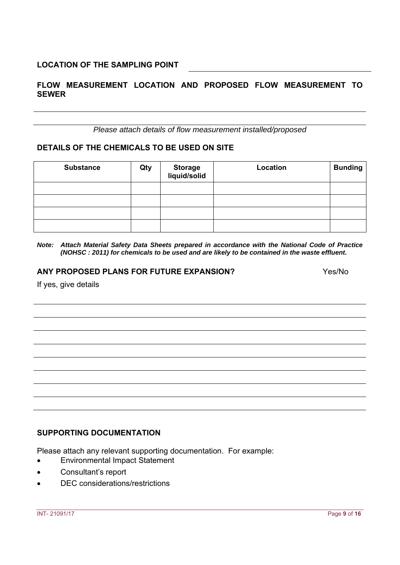# **FLOW MEASUREMENT LOCATION AND PROPOSED FLOW MEASUREMENT TO SEWER**

*Please attach details of flow measurement installed/proposed*

#### **DETAILS OF THE CHEMICALS TO BE USED ON SITE**

| <b>Substance</b> | Qty | Storage<br>liquid/solid | Location | <b>Bunding</b> |
|------------------|-----|-------------------------|----------|----------------|
|                  |     |                         |          |                |
|                  |     |                         |          |                |
|                  |     |                         |          |                |
|                  |     |                         |          |                |

*Note: Attach Material Safety Data Sheets prepared in accordance with the National Code of Practice (NOHSC : 2011) for chemicals to be used and are likely to be contained in the waste effluent.*

#### **ANY PROPOSED PLANS FOR FUTURE EXPANSION?** Yes/No

If yes, give details

# **SUPPORTING DOCUMENTATION**

Please attach any relevant supporting documentation. For example:

- Environmental Impact Statement
- Consultant's report
- DEC considerations/restrictions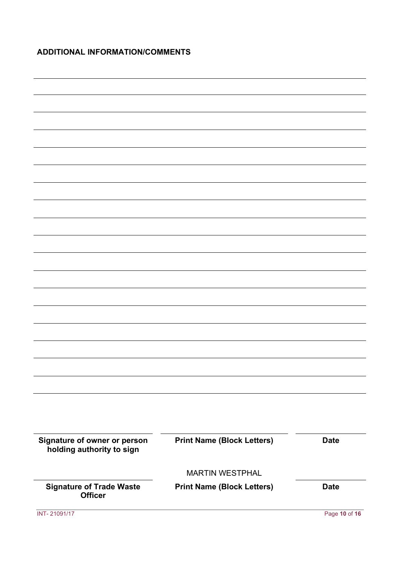# **ADDITIONAL INFORMATION/COMMENTS**

| Signature of owner or person<br>holding authority to sign | <b>Print Name (Block Letters)</b> | <b>Date</b>   |
|-----------------------------------------------------------|-----------------------------------|---------------|
|                                                           |                                   |               |
|                                                           | <b>MARTIN WESTPHAL</b>            |               |
| <b>Signature of Trade Waste</b><br><b>Officer</b>         | <b>Print Name (Block Letters)</b> | <b>Date</b>   |
| INT-21091/17                                              |                                   | Page 10 of 16 |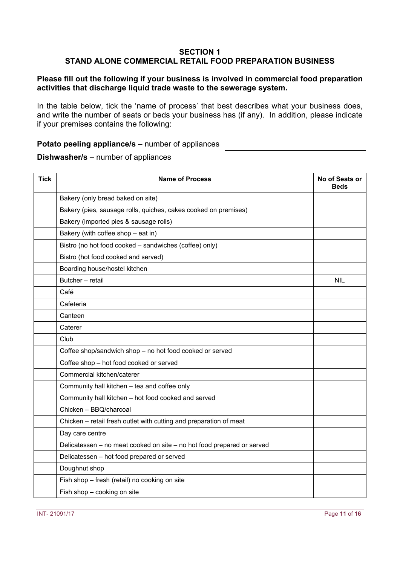#### **SECTION 1 STAND ALONE COMMERCIAL RETAIL FOOD PREPARATION BUSINESS**

### **Please fill out the following if your business is involved in commercial food preparation activities that discharge liquid trade waste to the sewerage system.**

In the table below, tick the 'name of process' that best describes what your business does, and write the number of seats or beds your business has (if any). In addition, please indicate if your premises contains the following:

#### **Potato peeling appliance/s** – number of appliances

**Dishwasher/s** – number of appliances

| <b>Tick</b> | <b>Name of Process</b>                                                 | No of Seats or<br><b>Beds</b> |
|-------------|------------------------------------------------------------------------|-------------------------------|
|             | Bakery (only bread baked on site)                                      |                               |
|             | Bakery (pies, sausage rolls, quiches, cakes cooked on premises)        |                               |
|             | Bakery (imported pies & sausage rolls)                                 |                               |
|             | Bakery (with coffee shop - eat in)                                     |                               |
|             | Bistro (no hot food cooked - sandwiches (coffee) only)                 |                               |
|             | Bistro (hot food cooked and served)                                    |                               |
|             | Boarding house/hostel kitchen                                          |                               |
|             | Butcher - retail                                                       | <b>NIL</b>                    |
|             | Café                                                                   |                               |
|             | Cafeteria                                                              |                               |
|             | Canteen                                                                |                               |
|             | Caterer                                                                |                               |
|             | Club                                                                   |                               |
|             | Coffee shop/sandwich shop - no hot food cooked or served               |                               |
|             | Coffee shop - hot food cooked or served                                |                               |
|             | Commercial kitchen/caterer                                             |                               |
|             | Community hall kitchen - tea and coffee only                           |                               |
|             | Community hall kitchen - hot food cooked and served                    |                               |
|             | Chicken - BBQ/charcoal                                                 |                               |
|             | Chicken - retail fresh outlet with cutting and preparation of meat     |                               |
|             | Day care centre                                                        |                               |
|             | Delicatessen - no meat cooked on site - no hot food prepared or served |                               |
|             | Delicatessen - hot food prepared or served                             |                               |
|             | Doughnut shop                                                          |                               |
|             | Fish shop - fresh (retail) no cooking on site                          |                               |
|             | Fish shop - cooking on site                                            |                               |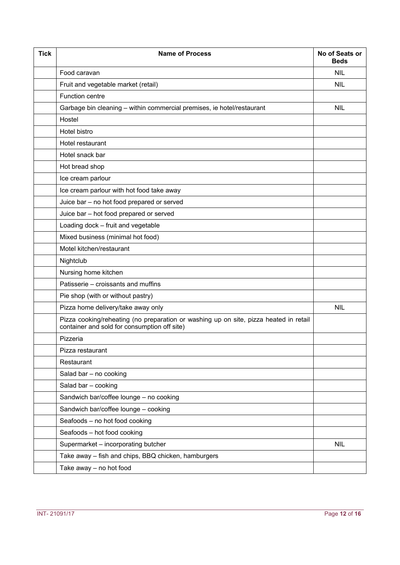| <b>Tick</b> | <b>Name of Process</b>                                                                                                                | No of Seats or<br><b>Beds</b> |
|-------------|---------------------------------------------------------------------------------------------------------------------------------------|-------------------------------|
|             | Food caravan                                                                                                                          | <b>NIL</b>                    |
|             | Fruit and vegetable market (retail)                                                                                                   | <b>NIL</b>                    |
|             | <b>Function centre</b>                                                                                                                |                               |
|             | Garbage bin cleaning - within commercial premises, ie hotel/restaurant                                                                | <b>NIL</b>                    |
|             | Hostel                                                                                                                                |                               |
|             | Hotel bistro                                                                                                                          |                               |
|             | Hotel restaurant                                                                                                                      |                               |
|             | Hotel snack bar                                                                                                                       |                               |
|             | Hot bread shop                                                                                                                        |                               |
|             | Ice cream parlour                                                                                                                     |                               |
|             | Ice cream parlour with hot food take away                                                                                             |                               |
|             | Juice bar - no hot food prepared or served                                                                                            |                               |
|             | Juice bar - hot food prepared or served                                                                                               |                               |
|             | Loading dock - fruit and vegetable                                                                                                    |                               |
|             | Mixed business (minimal hot food)                                                                                                     |                               |
|             | Motel kitchen/restaurant                                                                                                              |                               |
|             | Nightclub                                                                                                                             |                               |
|             | Nursing home kitchen                                                                                                                  |                               |
|             | Patisserie - croissants and muffins                                                                                                   |                               |
|             | Pie shop (with or without pastry)                                                                                                     |                               |
|             | Pizza home delivery/take away only                                                                                                    | <b>NIL</b>                    |
|             | Pizza cooking/reheating (no preparation or washing up on site, pizza heated in retail<br>container and sold for consumption off site) |                               |
|             | Pizzeria                                                                                                                              |                               |
|             | Pizza restaurant                                                                                                                      |                               |
|             | Restaurant                                                                                                                            |                               |
|             | Salad bar - no cooking                                                                                                                |                               |
|             | Salad bar - cooking                                                                                                                   |                               |
|             | Sandwich bar/coffee lounge - no cooking                                                                                               |                               |
|             | Sandwich bar/coffee lounge - cooking                                                                                                  |                               |
|             | Seafoods - no hot food cooking                                                                                                        |                               |
|             | Seafoods - hot food cooking                                                                                                           |                               |
|             | Supermarket - incorporating butcher                                                                                                   | <b>NIL</b>                    |
|             | Take away - fish and chips, BBQ chicken, hamburgers                                                                                   |                               |
|             | Take away - no hot food                                                                                                               |                               |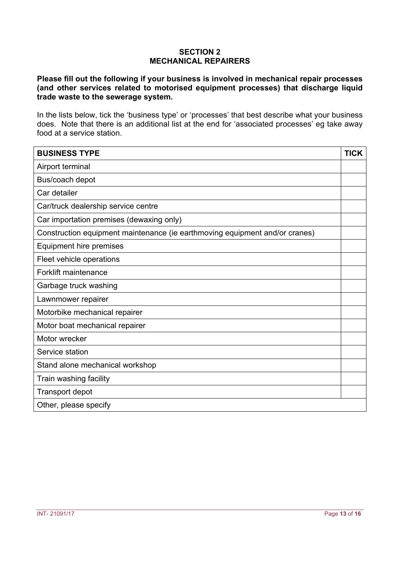#### **SECTION 2 MECHANICAL REPAIRERS**

**Please fill out the following if your business is involved in mechanical repair processes (and other services related to motorised equipment processes) that discharge liquid trade waste to the sewerage system.** 

In the lists below, tick the 'business type' or 'processes' that best describe what your business does. Note that there is an additional list at the end for 'associated processes' eg take away food at a service station.

| <b>BUSINESS TYPE</b>                                                        | <b>TICK</b> |
|-----------------------------------------------------------------------------|-------------|
| Airport terminal                                                            |             |
| Bus/coach depot                                                             |             |
| Car detailer                                                                |             |
| Car/truck dealership service centre                                         |             |
| Car importation premises (dewaxing only)                                    |             |
| Construction equipment maintenance (ie earthmoving equipment and/or cranes) |             |
| Equipment hire premises                                                     |             |
| Fleet vehicle operations                                                    |             |
| <b>Forklift maintenance</b>                                                 |             |
| Garbage truck washing                                                       |             |
| Lawnmower repairer                                                          |             |
| Motorbike mechanical repairer                                               |             |
| Motor boat mechanical repairer                                              |             |
| Motor wrecker                                                               |             |
| Service station                                                             |             |
| Stand alone mechanical workshop                                             |             |
| Train washing facility                                                      |             |
| <b>Transport depot</b>                                                      |             |
| Other, please specify                                                       |             |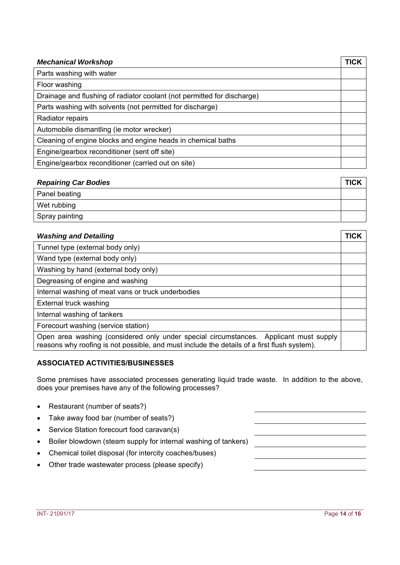| <b>Mechanical Workshop</b>                                              | TICK |
|-------------------------------------------------------------------------|------|
| Parts washing with water                                                |      |
| Floor washing                                                           |      |
| Drainage and flushing of radiator coolant (not permitted for discharge) |      |
| Parts washing with solvents (not permitted for discharge)               |      |
| Radiator repairs                                                        |      |
| Automobile dismantling (ie motor wrecker)                               |      |
| Cleaning of engine blocks and engine heads in chemical baths            |      |
| Engine/gearbox reconditioner (sent off site)                            |      |
| Engine/gearbox reconditioner (carried out on site)                      |      |

| <b>Repairing Car Bodies</b> | <b>TICK</b> |
|-----------------------------|-------------|
| Panel beating               |             |
| Wet rubbing                 |             |
| Spray painting              |             |

| <b>Washing and Detailing</b>                                                                                                                                                         | TICK |
|--------------------------------------------------------------------------------------------------------------------------------------------------------------------------------------|------|
| Tunnel type (external body only)                                                                                                                                                     |      |
| Wand type (external body only)                                                                                                                                                       |      |
| Washing by hand (external body only)                                                                                                                                                 |      |
| Degreasing of engine and washing                                                                                                                                                     |      |
| Internal washing of meat vans or truck underbodies                                                                                                                                   |      |
| External truck washing                                                                                                                                                               |      |
| Internal washing of tankers                                                                                                                                                          |      |
| Forecourt washing (service station)                                                                                                                                                  |      |
| Open area washing (considered only under special circumstances. Applicant must supply<br>reasons why roofing is not possible, and must include the details of a first flush system). |      |

# **ASSOCIATED ACTIVITIES/BUSINESSES**

Some premises have associated processes generating liquid trade waste. In addition to the above, does your premises have any of the following processes?

- Restaurant (number of seats?)
- Take away food bar (number of seats?)
- Service Station forecourt food caravan(s)
- Boiler blowdown (steam supply for internal washing of tankers)
- Chemical toilet disposal (for intercity coaches/buses)
- Other trade wastewater process (please specify)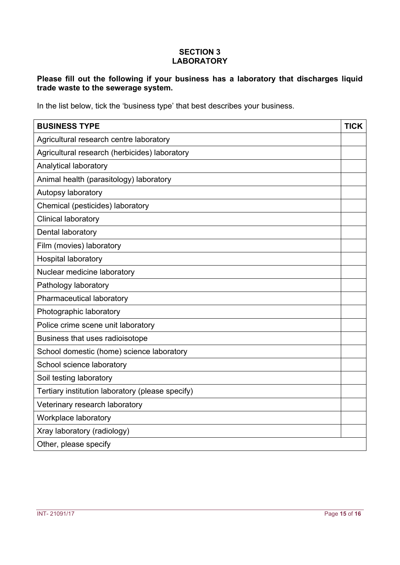### **SECTION 3 LABORATORY**

# **Please fill out the following if your business has a laboratory that discharges liquid trade waste to the sewerage system.**

In the list below, tick the 'business type' that best describes your business.

| <b>BUSINESS TYPE</b>                             | <b>TICK</b> |
|--------------------------------------------------|-------------|
| Agricultural research centre laboratory          |             |
| Agricultural research (herbicides) laboratory    |             |
| Analytical laboratory                            |             |
| Animal health (parasitology) laboratory          |             |
| Autopsy laboratory                               |             |
| Chemical (pesticides) laboratory                 |             |
| <b>Clinical laboratory</b>                       |             |
| Dental laboratory                                |             |
| Film (movies) laboratory                         |             |
| <b>Hospital laboratory</b>                       |             |
| Nuclear medicine laboratory                      |             |
| Pathology laboratory                             |             |
| Pharmaceutical laboratory                        |             |
| Photographic laboratory                          |             |
| Police crime scene unit laboratory               |             |
| Business that uses radioisotope                  |             |
| School domestic (home) science laboratory        |             |
| School science laboratory                        |             |
| Soil testing laboratory                          |             |
| Tertiary institution laboratory (please specify) |             |
| Veterinary research laboratory                   |             |
| Workplace laboratory                             |             |
| Xray laboratory (radiology)                      |             |
| Other, please specify                            |             |